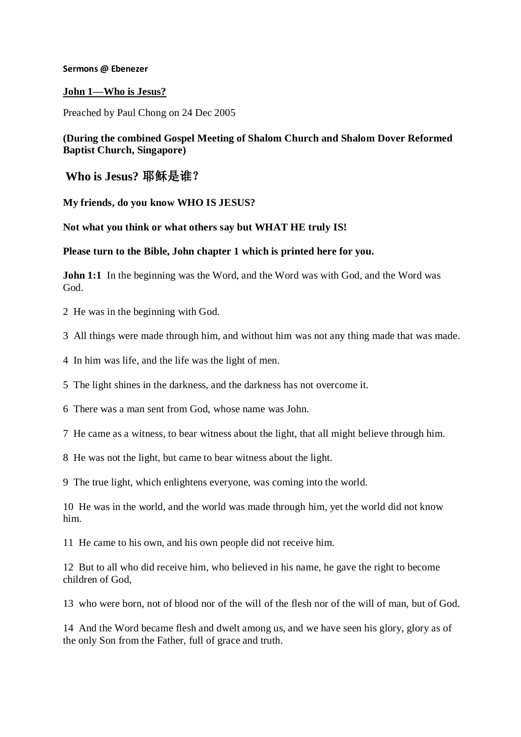### **Sermons @ Ebenezer**

## **John 1—Who is Jesus?**

Preached by Paul Chong on 24 Dec 2005

# **(During the combined Gospel Meeting of Shalom Church and Shalom Dover Reformed Baptist Church, Singapore)**

**Who is Jesus?** 耶稣是谁?

**My friends, do you know WHO IS JESUS?**

**Not what you think or what others say but WHAT HE truly IS!**

### **Please turn to the Bible, John chapter 1 which is printed here for you.**

**John 1:1** In the beginning was the Word, and the Word was with God, and the Word was God.

2 He was in the beginning with God.

- 3 All things were made through him, and without him was not any thing made that was made.
- 4 In him was life, and the life was the light of men.
- 5 The light shines in the darkness, and the darkness has not overcome it.
- 6 There was a man sent from God, whose name was John.
- 7 He came as a witness, to bear witness about the light, that all might believe through him.
- 8 He was not the light, but came to bear witness about the light.
- 9 The true light, which enlightens everyone, was coming into the world.

10 He was in the world, and the world was made through him, yet the world did not know him.

11 He came to his own, and his own people did not receive him.

12 But to all who did receive him, who believed in his name, he gave the right to become children of God,

13 who were born, not of blood nor of the will of the flesh nor of the will of man, but of God.

14 And the Word became flesh and dwelt among us, and we have seen his glory, glory as of the only Son from the Father, full of grace and truth.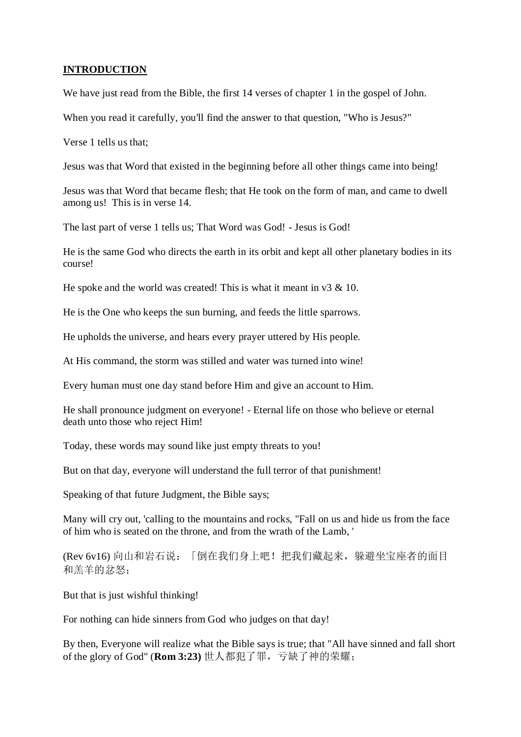# **INTRODUCTION**

We have just read from the Bible, the first 14 verses of chapter 1 in the gospel of John.

When you read it carefully, you'll find the answer to that question, "Who is Jesus?"

Verse 1 tells us that;

Jesus was that Word that existed in the beginning before all other things came into being!

Jesus was that Word that became flesh; that He took on the form of man, and came to dwell among us! This is in verse 14.

The last part of verse 1 tells us; That Word was God! - Jesus is God!

He is the same God who directs the earth in its orbit and kept all other planetary bodies in its course!

He spoke and the world was created! This is what it meant in  $\sqrt{3} \& 10$ .

He is the One who keeps the sun burning, and feeds the little sparrows.

He upholds the universe, and hears every prayer uttered by His people.

At His command, the storm was stilled and water was turned into wine!

Every human must one day stand before Him and give an account to Him.

He shall pronounce judgment on everyone! - Eternal life on those who believe or eternal death unto those who reject Him!

Today, these words may sound like just empty threats to you!

But on that day, everyone will understand the full terror of that punishment!

Speaking of that future Judgment, the Bible says;

Many will cry out, 'calling to the mountains and rocks, "Fall on us and hide us from the face of him who is seated on the throne, and from the wrath of the Lamb, '

(Rev 6v16) 向山和岩石说:「倒在我们身上吧!把我们藏起来,躲避坐宝座者的面目 和羔羊的忿怒;

But that is just wishful thinking!

For nothing can hide sinners from God who judges on that day!

By then, Everyone will realize what the Bible says is true; that "All have sinned and fall short of the glory of God" (**Rom 3:23)** 世人都犯了罪,亏缺了神的荣耀;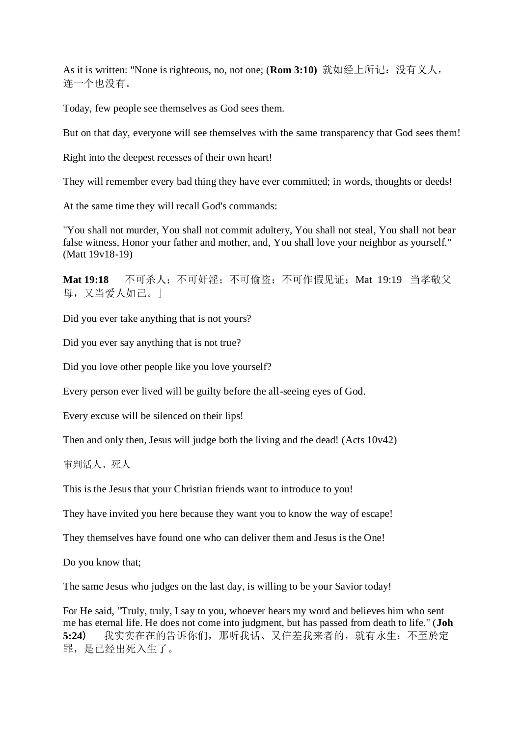As it is written: "None is righteous, no, not one; (Rom 3:10) 就如经上所记: 没有义人, 连一个也没有。

Today, few people see themselves as God sees them.

But on that day, everyone will see themselves with the same transparency that God sees them!

Right into the deepest recesses of their own heart!

They will remember every bad thing they have ever committed; in words, thoughts or deeds!

At the same time they will recall God's commands:

"You shall not murder, You shall not commit adultery, You shall not steal, You shall not bear false witness, Honor your father and mother, and, You shall love your neighbor as yourself." (Matt 19v18-19)

Mat 19:18 不可杀人;不可奸淫;不可偷盗;不可作假见证;Mat 19:19 当孝敬父 母,又当爱人如己。」

Did you ever take anything that is not yours?

Did you ever say anything that is not true?

Did you love other people like you love yourself?

Every person ever lived will be guilty before the all-seeing eyes of God.

Every excuse will be silenced on their lips!

Then and only then, Jesus will judge both the living and the dead! (Acts 10v42)

审判活人、死人

This is the Jesus that your Christian friends want to introduce to you!

They have invited you here because they want you to know the way of escape!

They themselves have found one who can deliver them and Jesus is the One!

Do you know that;

The same Jesus who judges on the last day, is willing to be your Savior today!

For He said, "Truly, truly, I say to you, whoever hears my word and believes him who sent me has eternal life. He does not come into judgment, but has passed from death to life." (**Joh 5:24)** 我实实在在的告诉你们,那听我话、又信差我来者的,就有永生;不至於定 罪,是已经出死入生了。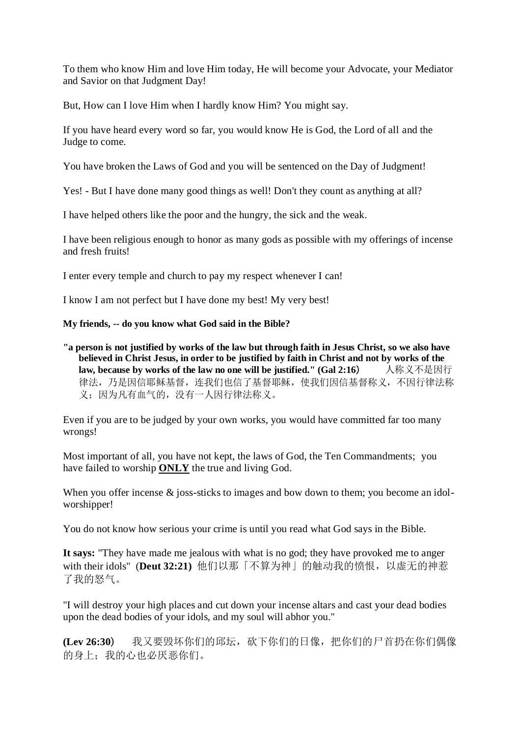To them who know Him and love Him today, He will become your Advocate, your Mediator and Savior on that Judgment Day!

But, How can I love Him when I hardly know Him? You might say.

If you have heard every word so far, you would know He is God, the Lord of all and the Judge to come.

You have broken the Laws of God and you will be sentenced on the Day of Judgment!

Yes! - But I have done many good things as well! Don't they count as anything at all?

I have helped others like the poor and the hungry, the sick and the weak.

I have been religious enough to honor as many gods as possible with my offerings of incense and fresh fruits!

I enter every temple and church to pay my respect whenever I can!

I know I am not perfect but I have done my best! My very best!

### **My friends, -- do you know what God said in the Bible?**

**"a person is not justified by works of the law but through faith in Jesus Christ, so we also have believed in Christ Jesus, in order to be justified by faith in Christ and not by works of the**  law, because by works of the law no one will be justified." (Gal 2:16) 人称义不是因行 律法,乃是因信耶稣基督,连我们也信了基督耶稣,使我们因信基督称义,不因行律法称 义;因为凡有血气的,没有一人因行律法称义。

Even if you are to be judged by your own works, you would have committed far too many wrongs!

Most important of all, you have not kept, the laws of God, the Ten Commandments; you have failed to worship **ONLY** the true and living God.

When you offer incense & joss-sticks to images and bow down to them; you become an idolworshipper!

You do not know how serious your crime is until you read what God says in the Bible.

**It says:** "They have made me jealous with what is no god; they have provoked me to anger with their idols" (**Deut 32:21)** 他们以那「不算为神」的触动我的愤恨,以虚无的神惹 了我的怒气。

"I will destroy your high places and cut down your incense altars and cast your dead bodies upon the dead bodies of your idols, and my soul will abhor you."

**(Lev 26:30**) 我又要毁坏你们的邱坛,砍下你们的日像,把你们的尸首扔在你们偶像 的身上:我的心也必厌恶你们。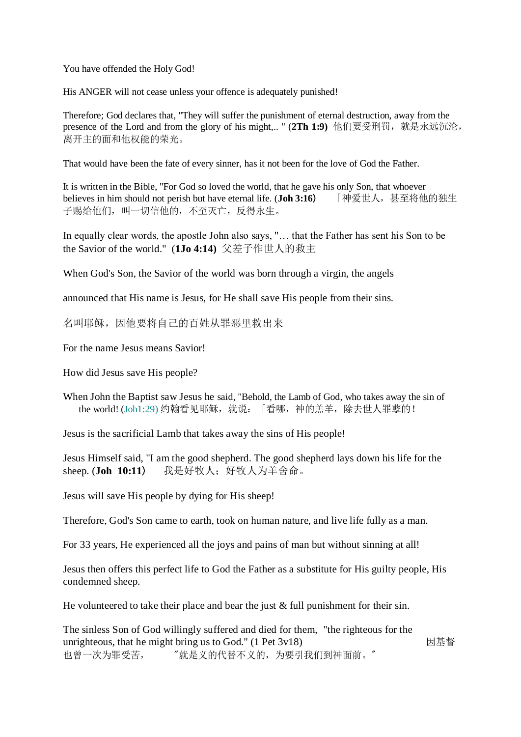You have offended the Holy God!

His ANGER will not cease unless your offence is adequately punished!

Therefore; God declares that, "They will suffer the punishment of eternal destruction, away from the presence of the Lord and from the glory of his might,.. " (2Th 1:9) 他们要受刑罚, 就是永远沉沦, 离开主的面和他权能的荣光。

That would have been the fate of every sinner, has it not been for the love of God the Father.

It is written in the Bible, "For God so loved the world, that he gave his only Son, that whoever<br>believes in him should not perish but have eternal life. (**Joh 3:16**) [神爱世人, 甚至将他的独生 believes in him should not perish but have eternal life. (**Joh 3:16**) 子赐给他们,叫一切信他的,不至灭亡,反得永生。

In equally clear words, the apostle John also says, "… that the Father has sent his Son to be the Savior of the world." (**1Jo 4:14)** 父差子作世人的救主

When God's Son, the Savior of the world was born through a virgin, the angels

announced that His name is Jesus, for He shall save His people from their sins.

名叫耶稣,因他要将自己的百姓从罪恶里救出来

For the name Jesus means Savior!

How did Jesus save His people?

When John the Baptist saw Jesus he said, "Behold, the Lamb of God, who takes away the sin of the world! (Joh1:29) 约翰看见耶稣,就说:「看哪,神的羔羊,除去世人罪孽的!

Jesus is the sacrificial Lamb that takes away the sins of His people!

Jesus Himself said, "I am the good shepherd. The good shepherd lays down his life for the sheep. (**Joh 10:11**) 我是好牧人;好牧人为羊舍命。

Jesus will save His people by dying for His sheep!

Therefore, God's Son came to earth, took on human nature, and live life fully as a man.

For 33 years, He experienced all the joys and pains of man but without sinning at all!

Jesus then offers this perfect life to God the Father as a substitute for His guilty people, His condemned sheep.

He volunteered to take their place and bear the just  $\&$  full punishment for their sin.

The sinless Son of God willingly suffered and died for them, "the righteous for the unrighteous, that he might bring us to God." (1 Pet 3v18) 因基督 也曾一次为罪受苦, "就是义的代替不义的,为要引我们到神面前。"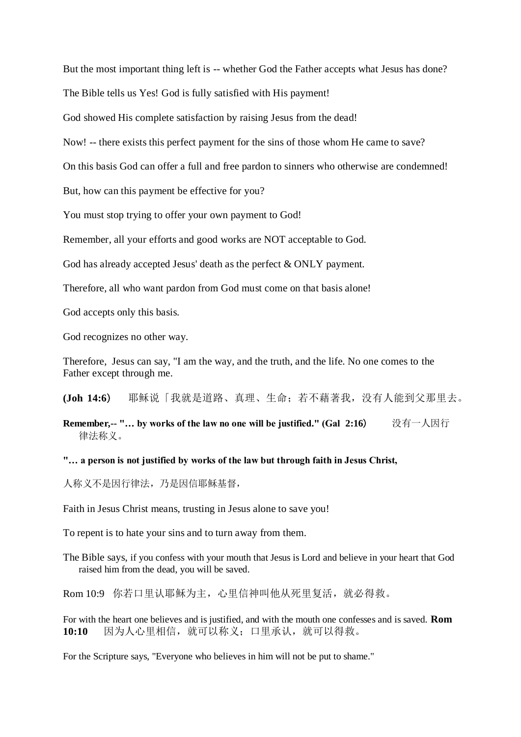But the most important thing left is -- whether God the Father accepts what Jesus has done?

The Bible tells us Yes! God is fully satisfied with His payment!

God showed His complete satisfaction by raising Jesus from the dead!

Now! -- there exists this perfect payment for the sins of those whom He came to save?

On this basis God can offer a full and free pardon to sinners who otherwise are condemned!

But, how can this payment be effective for you?

You must stop trying to offer your own payment to God!

Remember, all your efforts and good works are NOT acceptable to God.

God has already accepted Jesus' death as the perfect & ONLY payment.

Therefore, all who want pardon from God must come on that basis alone!

God accepts only this basis.

God recognizes no other way.

Therefore, Jesus can say, "I am the way, and the truth, and the life. No one comes to the Father except through me.

**(Joh 14:6**) 耶稣说「我就是道路、真理、生命;若不藉著我,没有人能到父那里去。

**Remember,-- "… by works of the law no one will be justified." (Gal 2:16**) 没有一人因行 律法称义。

#### **"… a person is not justified by works of the law but through faith in Jesus Christ,**

人称义不是因行律法,乃是因信耶稣基督,

Faith in Jesus Christ means, trusting in Jesus alone to save you!

To repent is to hate your sins and to turn away from them.

The Bible says, if you confess with your mouth that Jesus is Lord and believe in your heart that God raised him from the dead, you will be saved.

Rom 10:9 你若口里认耶稣为主, 心里信神叫他从死里复活, 就必得救。

For with the heart one believes and is justified, and with the mouth one confesses and is saved. **Rom 10:10** 因为人心里相信,就可以称义;口里承认,就可以得救。

For the Scripture says, "Everyone who believes in him will not be put to shame."